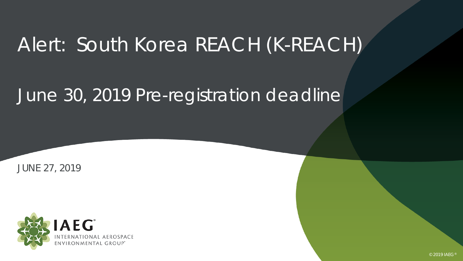# Alert: South Korea REACH (K-REACH)

## June 30, 2019 Pre-registration deadline

JUNE 27, 2019



© 2019 IAEG®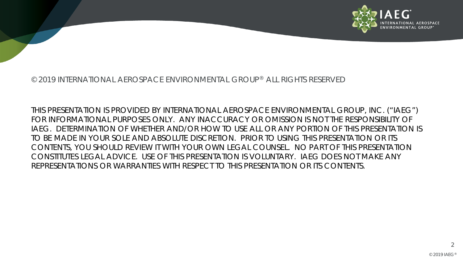

#### © 2019 INTERNATIONAL AEROSPACE ENVIRONMENTAL GROUP® ALL RIGHTS RESERVED

THIS PRESENTATION IS PROVIDED BY INTERNATIONAL AEROSPACE ENVIRONMENTAL GROUP, INC. ("IAEG") FOR INFORMATIONAL PURPOSES ONLY. ANY INACCURACY OR OMISSION IS NOT THE RESPONSIBILITY OF IAEG. DETERMINATION OF WHETHER AND/OR HOW TO USE ALL OR ANY PORTION OF THIS PRESENTATION IS TO BE MADE IN YOUR SOLE AND ABSOLUTE DISCRETION. PRIOR TO USING THIS PRESENTATION OR ITS CONTENTS, YOU SHOULD REVIEW IT WITH YOUR OWN LEGAL COUNSEL. NO PART OF THIS PRESENTATION CONSTITUTES LEGAL ADVICE. USE OF THIS PRESENTATION IS VOLUNTARY. IAEG DOES NOT MAKE ANY REPRESENTATIONS OR WARRANTIES WITH RESPECT TO THIS PRESENTATION OR ITS CONTENTS.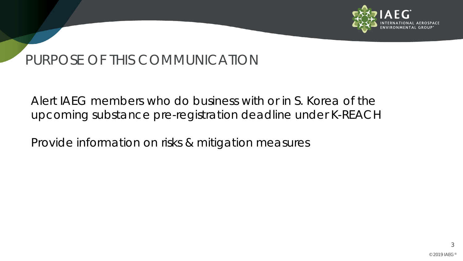

#### PURPOSE OF THIS COMMUNICATION

Alert IAEG members who do business with or in S. Korea of the upcoming substance pre-registration deadline under K-REACH

Provide information on risks & mitigation measures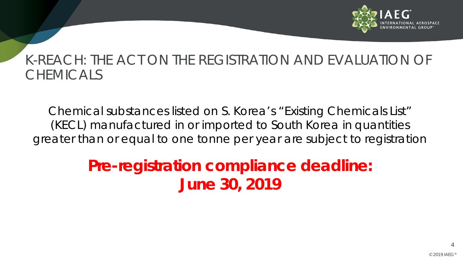

#### K-REACH: THE ACT ON THE REGISTRATION AND EVALUATION OF CHEMICALS

Chemical substances listed on S. Korea's "Existing Chemicals List" (KECL) manufactured in or imported to South Korea in quantities greater than or equal to one tonne per year are subject to registration

## **Pre-registration compliance deadline: June 30, 2019**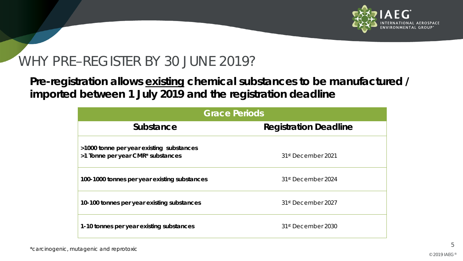

#### WHY PRE–REGISTER BY 30 JUNE 2019?

**Pre-registration allows** *existing* **chemical substances to be manufactured / imported between 1 July 2019 and the registration deadline**

| <b>Grace Periods</b>                                                          |                                |
|-------------------------------------------------------------------------------|--------------------------------|
| Substance                                                                     | <b>Registration Deadline</b>   |
| >1000 tonne per year existing substances<br>>1 Tonne per year CMR* substances | 31 <sup>st</sup> December 2021 |
| 100-1000 tonnes per year existing substances                                  | 31 <sup>st</sup> December 2024 |
| 10-100 tonnes per year existing substances                                    | 31 <sup>st</sup> December 2027 |
| 1-10 tonnes per year existing substances                                      | 31 <sup>st</sup> December 2030 |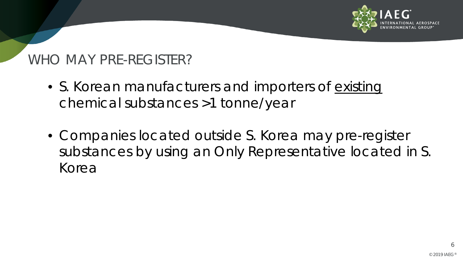

### WHO MAY PRE-REGISTER?

- S. Korean manufacturers and importers of *existing* chemical substances >1 tonne/year
- Companies located outside S. Korea may pre-register substances by using an Only Representative located in S. Korea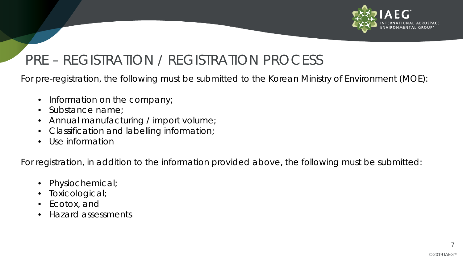

### PRE – REGISTRATION / REGISTRATION PROCESS

For pre-registration, the following must be submitted to the Korean Ministry of Environment (MOE):

- Information on the company;
- Substance name;
- Annual manufacturing / import volume;
- Classification and labelling information;
- Use information

For registration, in addition to the information provided above, the following must be submitted:

- Physiochemical;
- Toxicological;
- Ecotox, and
- Hazard assessments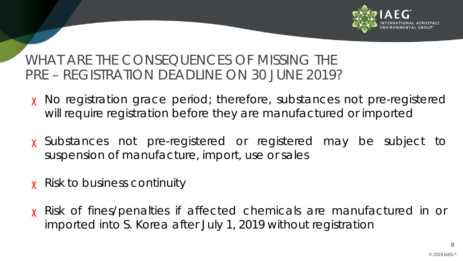

WHAT ARE THE CONSEQUENCES OF MISSING THE PRE – REGISTRATION DEADLINE ON 30 JUNE 2019?

- χ No registration grace period; therefore, substances not pre-registered will require registration before they are manufactured or imported
- χ Substances not pre-registered or registered may be subject to suspension of manufacture, import, use or sales
- χ Risk to business continuity
- χ Risk of fines/penalties if affected chemicals are manufactured in or imported into S. Korea after July 1, 2019 without registration